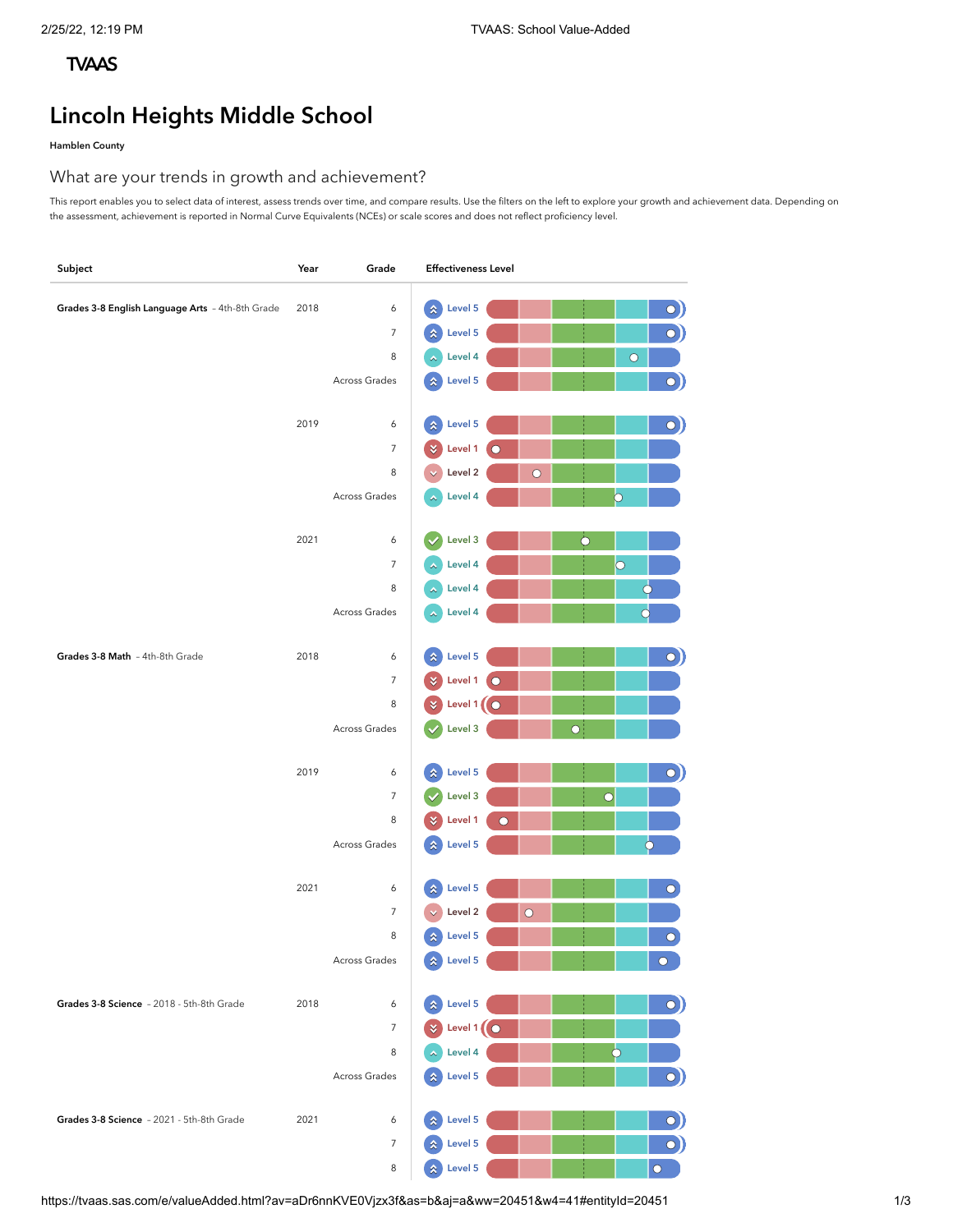# **[TVAAS](https://tvaas.sas.com/welcome.html?av=aDr6nnKVE0Vjzx3f&as=c&aj=b)**

# **Lincoln Heights Middle School**

# **Hamblen County**

# What are your trends in growth and achievement?

This report enables you to select data of interest, assess trends over time, and compare results. Use the filters on the left to explore your growth and achievement data. Depending on the assessment, achievement is reported in Normal Curve Equivalents (NCEs) or scale scores and does not reflect proficiency level.

| Subject                                          | Year | Grade               | <b>Effectiveness Level</b>                                             |
|--------------------------------------------------|------|---------------------|------------------------------------------------------------------------|
| Grades 3-8 English Language Arts - 4th-8th Grade | 2018 | 6                   | $\hat{\mathbf{x}}$<br>Level 5                                          |
|                                                  |      | $\overline{7}$      | O)<br>$\bigcirc$<br>Level 5<br>$\pmb{\hat{\mathsf{x}}}$                |
|                                                  |      | 8                   | Level 4<br>$\circ$<br>٨                                                |
|                                                  |      | Across Grades       | $\bigcirc$<br>Level 5<br>$\boldsymbol{\hat{\mathsf{x}}}$               |
|                                                  |      |                     |                                                                        |
|                                                  | 2019 | 6                   | Level 5<br>$\bigcirc$<br>$\hat{\mathbf{x}}$                            |
|                                                  |      | $\overline{7}$      | Level 1                                                                |
|                                                  |      | 8                   | Level 2<br>$\circ$                                                     |
|                                                  |      | Across Grades       | Level 4<br>Э<br>а                                                      |
|                                                  | 2021 |                     | $\ddot{\mathbf{O}}$                                                    |
|                                                  |      | 6<br>$\overline{7}$ | Level 3<br>$\circ$<br>Level 4                                          |
|                                                  |      | 8                   | $\phi$<br>Level 4<br>٨                                                 |
|                                                  |      | Across Grades       | $\overline{\bullet}$<br>Level 4<br>∧                                   |
|                                                  |      |                     |                                                                        |
| Grades 3-8 Math - 4th-8th Grade                  | 2018 | 6                   | Level 5<br>$\hat{\mathbf{x}}$<br>$\bigcirc$                            |
|                                                  |      | $\overline{7}$      | Level 1<br>¥<br>∩                                                      |
|                                                  |      | 8                   | Level 1<br>$\circ$<br>×                                                |
|                                                  |      | Across Grades       | $\overline{O}$<br>Level 3                                              |
|                                                  | 2019 |                     | Level 5                                                                |
|                                                  |      | 6<br>$\overline{7}$ | $\hat{\mathbf{x}}$<br>O)<br>$\ddot{\mathbf{O}}$<br>Level 3             |
|                                                  |      | 8                   | Level 1<br>$\bigcap$<br>¥                                              |
|                                                  |      | Across Grades       | Ò<br>Level 5<br>$\hat{\mathbf{x}}$                                     |
|                                                  |      |                     |                                                                        |
|                                                  | 2021 | 6                   | Level 5<br>$\overline{\mathcal{O}}$<br>$\boldsymbol{\hat{\mathsf{x}}}$ |
|                                                  |      | 7                   | Level 2<br>$\circ$                                                     |
|                                                  |      | 8                   | Level 5<br>$\bullet$<br>☆                                              |
|                                                  |      | Across Grades       | $\hat{\lambda}$ Level 5<br>$\bullet$                                   |
| Grades 3-8 Science - 2018 - 5th-8th Grade        | 2018 | 6                   | Level 5<br>$\boldsymbol{\hat{x}}$                                      |
|                                                  |      | $\overline{7}$      | $\mathbf{O}$<br>Level 1<br>$\bigcap$                                   |
|                                                  |      | 8                   | Level 4                                                                |
|                                                  |      | Across Grades       | $\bigcirc)$<br>Level 5<br>٨                                            |
|                                                  |      |                     |                                                                        |
| Grades 3-8 Science - 2021 - 5th-8th Grade        | 2021 | 6                   | Level 5<br>$\bigcirc$<br>☆                                             |
|                                                  |      | $\overline{7}$      | $\mathbf{o})$<br>Level 5                                               |
|                                                  |      | 8                   | Level 5<br>$\ddot{\mathbf{O}}$<br>$\boldsymbol{\hat{\mathsf{x}}}$      |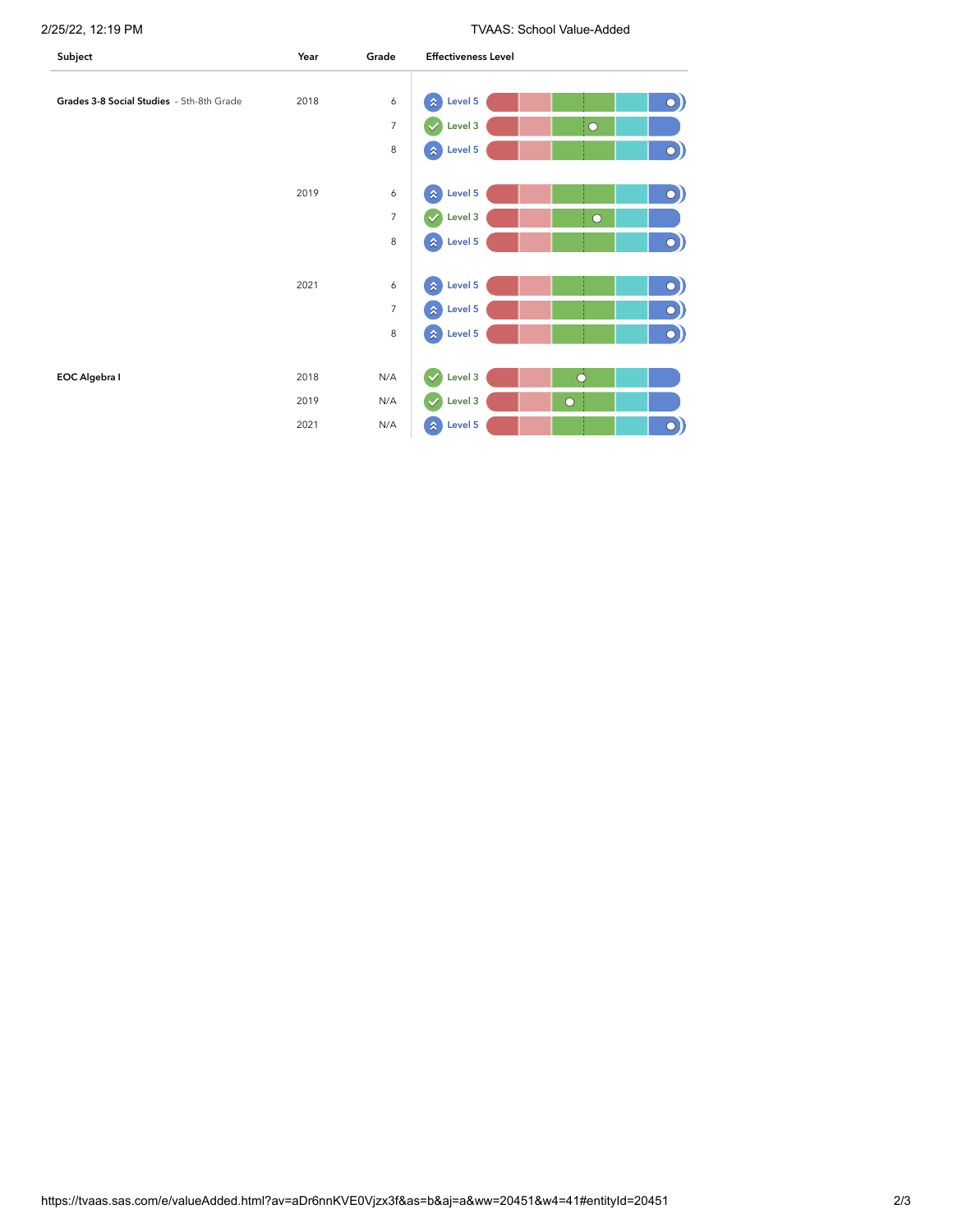2/25/22, 12:19 PM TVAAS: School Value-Added

| Subject                                   | Year | Grade          | <b>Effectiveness Level</b>                             |
|-------------------------------------------|------|----------------|--------------------------------------------------------|
|                                           |      |                |                                                        |
| Grades 3-8 Social Studies - 5th-8th Grade | 2018 | 6              | $\hat{\mathbf{x}}$<br>Level 5<br>$\bigcirc$            |
|                                           |      | $\overline{7}$ | Level 3<br>¦О<br>$\checkmark$                          |
|                                           |      | 8              | $\bigcirc)$<br>$\hat{\mathbf{x}}$<br>Level 5           |
|                                           |      |                |                                                        |
|                                           | 2019 | 6              | $\hat{\mathbf{x}}$<br>Level 5<br>$\bigcirc$            |
|                                           |      | $\overline{7}$ | Level 3<br>$\checkmark$<br>$\circ$                     |
|                                           |      | 8              | $\circ)$<br>Level 5<br>$\boldsymbol{\hat{\mathbf{x}}}$ |
|                                           |      |                |                                                        |
|                                           | 2021 | 6              | $\mathbf{x}$<br>Level 5<br>$\bigcirc$                  |
|                                           |      | $\overline{7}$ | $\circ)$<br>Level 5<br>$\hat{\mathbf{x}}$              |
|                                           |      | 8              | Level 5<br>$\bigcirc$<br>$\hat{\mathbf{x}}$            |
|                                           |      |                |                                                        |
| EOC Algebra I                             | 2018 | N/A            | $\overline{O}$<br>$\checkmark$<br>Level 3              |
|                                           | 2019 | N/A            | Level 3<br>$\checkmark$<br>$\circ$                     |
|                                           | 2021 | N/A            | $\hat{\mathbf{x}}$<br>Level 5<br>$\bigcirc$            |
|                                           |      |                |                                                        |